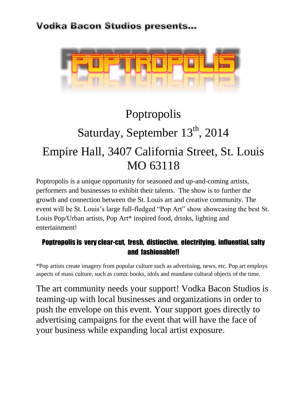

# Poptropolis Saturday, September 13th, 2014 Empire Hall, 3407 California Street, St. Louis MO 63118

Poptropolis is a unique opportunity for seasoned and up-and-coming artists, performers and businesses to exhibit their talents. The show is to further the growth and connection between the St. Louis art and creative community. The event will be St. Louis's large full-fledged "Pop Art" show showcasing the best St. Louis Pop/Urban artists, Pop Art<sup>\*</sup> inspired food, drinks, lighting and entertainment!

### Poptropolis is very clear-cut, fresh, distinctive, electrifying, influential, salty and fashionable!!

\*Pop artists create imagery from popular culture such as advertising, news, etc. Pop art employs aspects of mass culture, such as comic books, idols and mundane cultural objects of the time.

The art community needs your support! Vodka Bacon Studios is teaming-up with local businesses and organizations in order to push the envelope on this event. Your support goes directly to advertising campaigns for the event that will have the face of your business while expanding local artist exposure.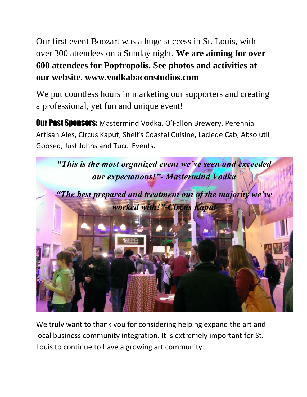Our first event Boozart was a huge success in St. Louis, with over 300 attendees on a Sunday night. **We are aiming for over 600 attendees for Poptropolis. See photos and activities at our website. www.vodkabaconstudios.com**

We put countless hours in marketing our supporters and creating a professional, yet fun and unique event!

**Our Past Sponsors:** Mastermind Vodka, O'Fallon Brewery, Perennial Artisan Ales, Circus Kaput, Shell's Coastal Cuisine, Laclede Cab, Absolutli Goosed, Just Johns and Tucci Events.



We truly want to thank you for considering helping expand the art and local business community integration. It is extremely important for St. Louis to continue to have a growing art community.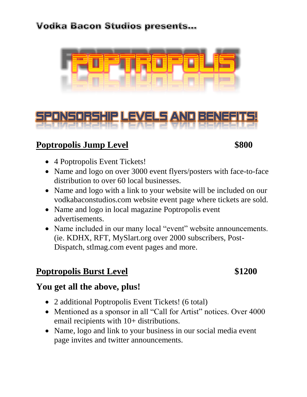



### **Poptropolis Jump Level \$800**

- 4 Poptropolis Event Tickets!
- Name and logo on over 3000 event flyers/posters with face-to-face distribution to over 60 local businesses.
- Name and logo with a link to your website will be included on our vodkabaconstudios.com website event page where tickets are sold.
- Name and logo in local magazine Poptropolis event advertisements.
- Name included in our many local "event" website announcements. (ie. KDHX, RFT, MySlart.org over 2000 subscribers, Post-Dispatch, stlmag.com event pages and more.

# **Poptropolis Burst Level \$1200**

### **You get all the above, plus!**

- 2 additional Poptropolis Event Tickets! (6 total)
- Mentioned as a sponsor in all "Call for Artist" notices. Over 4000 email recipients with 10+ distributions.
- Name, logo and link to your business in our social media event page invites and twitter announcements.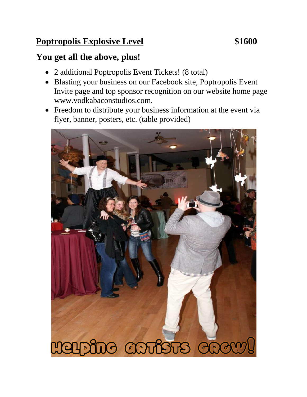# **Poptropolis Explosive Level \$1600**

# **You get all the above, plus!**

- 2 additional Poptropolis Event Tickets! (8 total)
- Blasting your business on our Facebook site, Poptropolis Event Invite page and top sponsor recognition on our website home page www.vodkabaconstudios.com.
- Freedom to distribute your business information at the event via flyer, banner, posters, etc. (table provided)

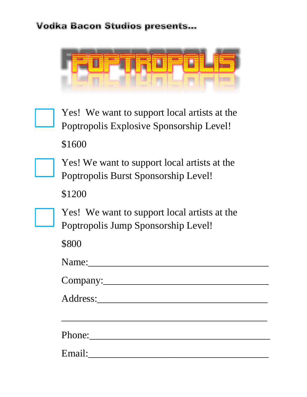



Yes! We want to support local artists at the Poptropolis Explosive Sponsorship Level! \$1600



\$1200



Yes! We want to support local artists at the Poptropolis Jump Sponsorship Level!

\$800

| Name:  |  |  |
|--------|--|--|
|        |  |  |
|        |  |  |
| Phone: |  |  |
| Email: |  |  |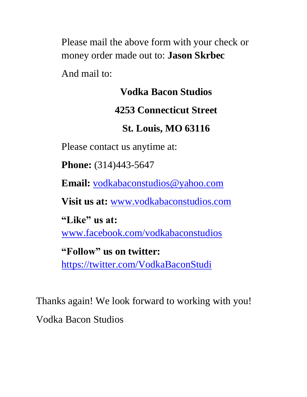Please mail the above form with your check or money order made out to: **Jason Skrbec**

And mail to:

# **Vodka Bacon Studios**

# **4253 Connecticut Street**

# **St. Louis, MO 63116**

Please contact us anytime at:

**Phone:** (314)443-5647

**Email:** [vodkabaconstudios@yahoo.com](mailto:vodkabaconstudios@yahoo.com)

**Visit us at:** [www.vodkabaconstudios.com](http://www.vodkabaconstudios.com/)

**"Like" us at:** 

[www.facebook.com/vodkabaconstudios](http://www.facebook.com/vodkabaconstudios)

**"Follow" us on twitter:**  <https://twitter.com/VodkaBaconStudi>

Thanks again! We look forward to working with you! Vodka Bacon Studios